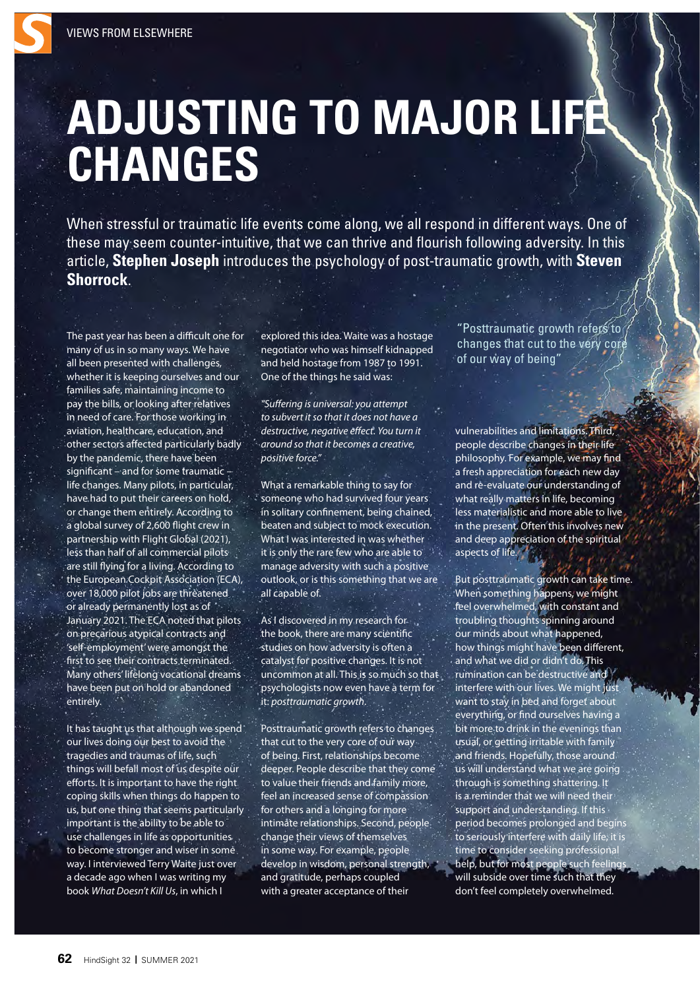## **ADJUSTING TO MAJOR LIFE CHANGES**

When stressful or traumatic life events come along, we all respond in different ways. One of these may seem counter-intuitive, that we can thrive and flourish following adversity. In this article, **Stephen Joseph** introduces the psychology of post-traumatic growth, with **Steven Shorrock**.

The past year has been a difficult one for many of us in so many ways. We have all been presented with challenges, whether it is keeping ourselves and our families safe, maintaining income to pay the bills, or looking after relatives in need of care. For those working in aviation, healthcare, education, and other sectors affected particularly badly by the pandemic, there have been significant – and for some traumatic – life changes. Many pilots, in particular, have had to put their careers on hold, or change them entirely. According to a global survey of 2,600 flight crew in partnership with Flight Global (2021), less than half of all commercial pilots are still flying for a living. According to the European Cockpit Association (ECA), over 18,000 pilot jobs are threatened or already permanently lost as of January 2021. The ECA noted that pilots on precarious atypical contracts and 'self-employment' were amongst the first to see their contracts terminated. Many others' lifelong vocational dreams have been put on hold or abandoned entirely.

It has taught us that although we spend our lives doing our best to avoid the tragedies and traumas of life, such things will befall most of us despite our efforts. It is important to have the right coping skills when things do happen to us, but one thing that seems particularly important is the ability to be able to use challenges in life as opportunities to become stronger and wiser in some way. I interviewed Terry Waite just over a decade ago when I was writing my book *What Doesn't Kill Us*, in which I

explored this idea. Waite was a hostage negotiator who was himself kidnapped and held hostage from 1987 to 1991. One of the things he said was:

*"Su*ff*ering is universal: you attempt to subvert it so that it does not have a destructive, negative e*ff*ect. You turn it around so that it becomes a creative, positive force."* 

What a remarkable thing to say for someone who had survived four years in solitary confinement, being chained, beaten and subject to mock execution. What I was interested in was whether it is only the rare few who are able to manage adversity with such a positive outlook, or is this something that we are all capable of.

As I discovered in my research for the book, there are many scientific studies on how adversity is often a catalyst for positive changes. It is not uncommon at all. This is so much so that psychologists now even have a term for it: *posttraumatic growth*.

Posttraumatic growth refers to changes that cut to the very core of our way of being. First, relationships become deeper. People describe that they come to value their friends and family more, feel an increased sense of compassion for others and a longing for more intimate relationships. Second, people change their views of themselves in some way. For example, people develop in wisdom, personal strength, and gratitude, perhaps coupled with a greater acceptance of their

"Posttraumatic growth refers to changes that cut to the very core of our way of being"

vulnerabilities and limitations. Third, people describe changes in their life philosophy. For example, we may find a fresh appreciation for each new day and re-evaluate our understanding of what really matters in life, becoming less materialistic and more able to live in the present. Often this involves new and deep appreciation of the spiritual aspects of life.

But posttraumatic growth can take time. When something happens, we might feel overwhelmed, with constant and troubling thoughts spinning around our minds about what happened, how things might have been different, and what we did or didn't do. This rumination can be destructive and interfere with our lives. We might just want to stay in bed and forget about everything, or find ourselves having a bit more to drink in the evenings than usual, or getting irritable with family and friends. Hopefully, those around us will understand what we are going through is something shattering. It is a reminder that we will need their support and understanding. If this period becomes prolonged and begins to seriously interfere with daily life, it is time to consider seeking professional help, but for most people such feelings will subside over time such that they don't feel completely overwhelmed.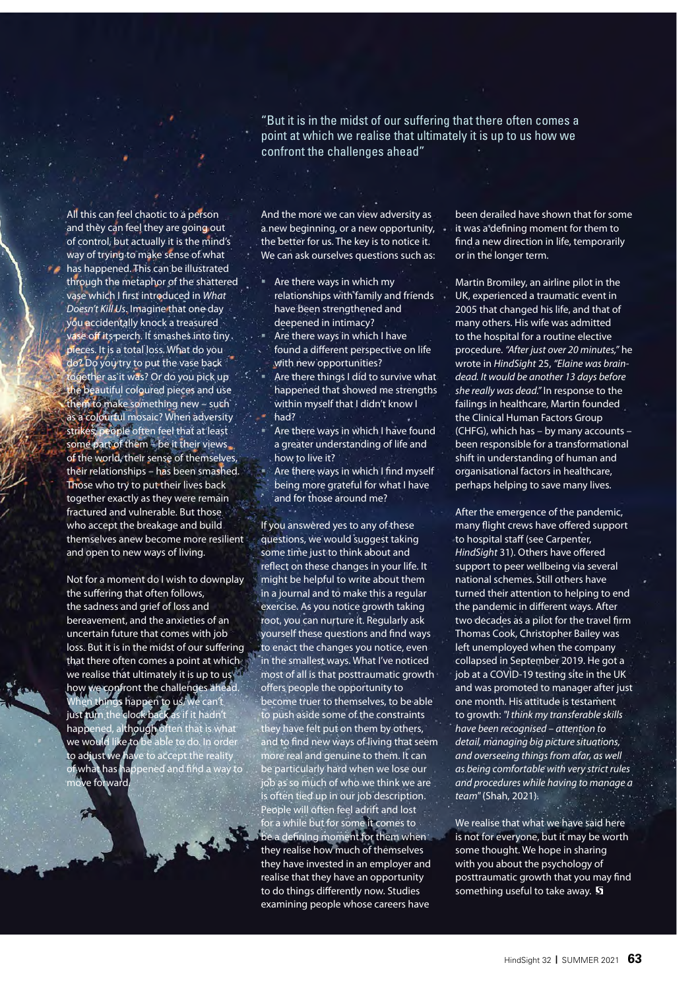"But it is in the midst of our suffering that there often comes a point at which we realise that ultimately it is up to us how we confront the challenges ahead"

All this can feel chaotic to a person and they can feel they are going out of control, but actually it is the mind's way of trying to make sense of what has happened. This can be illustrated through the metaphor of the shattered vase which I first introduced in *What Doesn't Kill Us*. Imagine that one day you accidentally knock a treasured vase off its perch. It smashes into tiny pieces. It is a total loss. What do you do? Do you try to put the vase back ogether as it was? Or do you pick up the beautiful coloured pieces and use them to make something new – such as a colourful mosaic? When adversity strikes, people often feel that at least some part of them – be it their views. of the world, their sense of themselves, their relationships – has been smashed. Those who try to put their lives back together exactly as they were remain fractured and vulnerable. But those who accept the breakage and build themselves anew become more resilient and open to new ways of living.

Not for a moment do I wish to downplay the suffering that often follows, the sadness and grief of loss and bereavement, and the anxieties of an uncertain future that comes with job loss. But it is in the midst of our suffering that there often comes a point at which we realise that ultimately it is up to us how we confront the challenges ahead. things happen to us, we can't just turn the clock back as if it hadn't happened, although often that is what we would like to be able to do. In order to adjust we have to accept the reality of what has happened and find a way to ve forward.

And the more we can view adversity as a new beginning, or a new opportunity, the better for us. The key is to notice it. We can ask ourselves questions such as:

- Are there ways in which my relationships with family and friends have been strengthened and deepened in intimacy?
- Are there ways in which I have found a different perspective on life with new opportunities?
- Are there things I did to survive what happened that showed me strengths within myself that I didn't know I had?
- Are there ways in which I have found a greater understanding of life and how to live it?
- Are there ways in which I find myself being more grateful for what I have and for those around me?

If you answered yes to any of these questions, we would suggest taking some time just to think about and reflect on these changes in your life. It might be helpful to write about them in a journal and to make this a regular exercise. As you notice growth taking root, you can nurture it. Regularly ask yourself these questions and find ways to enact the changes you notice, even in the smallest ways. What I've noticed most of all is that posttraumatic growth offers people the opportunity to become truer to themselves, to be able to push aside some of the constraints they have felt put on them by others, and to find new ways of living that seem more real and genuine to them. It can be particularly hard when we lose our job as so much of who we think we are is often tied up in our job description. People will often feel adrift and lost for a while but for some it comes to be a defining moment for them when they realise how much of themselves they have invested in an employer and realise that they have an opportunity to do things differently now. Studies examining people whose careers have

been derailed have shown that for some it was a defining moment for them to find a new direction in life, temporarily or in the longer term.

Martin Bromiley, an airline pilot in the UK, experienced a traumatic event in 2005 that changed his life, and that of many others. His wife was admitted to the hospital for a routine elective procedure. *"After just over 20 minutes,"* he wrote in *HindSight* 25, *"Elaine was braindead. It would be another 13 days before she really was dead."* In response to the failings in healthcare, Martin founded the Clinical Human Factors Group (CHFG), which has – by many accounts – been responsible for a transformational shift in understanding of human and organisational factors in healthcare, perhaps helping to save many lives.

After the emergence of the pandemic, many flight crews have offered support to hospital staff (see Carpenter, *HindSight* 31). Others have offered support to peer wellbeing via several national schemes. Still others have turned their attention to helping to end the pandemic in different ways. After two decades as a pilot for the travel firm Thomas Cook, Christopher Bailey was left unemployed when the company collapsed in September 2019. He got a job at a COVID-19 testing site in the UK and was promoted to manager after just one month. His attitude is testament to growth: *"I think my transferable skills have been recognised – attention to detail, managing big picture situations, and overseeing things from afar, as well as being comfortable with very strict rules and procedures while having to manage a team"* (Shah, 2021).

We realise that what we have said here is not for everyone, but it may be worth some thought. We hope in sharing with you about the psychology of posttraumatic growth that you may find something useful to take away.  $\mathbf S$